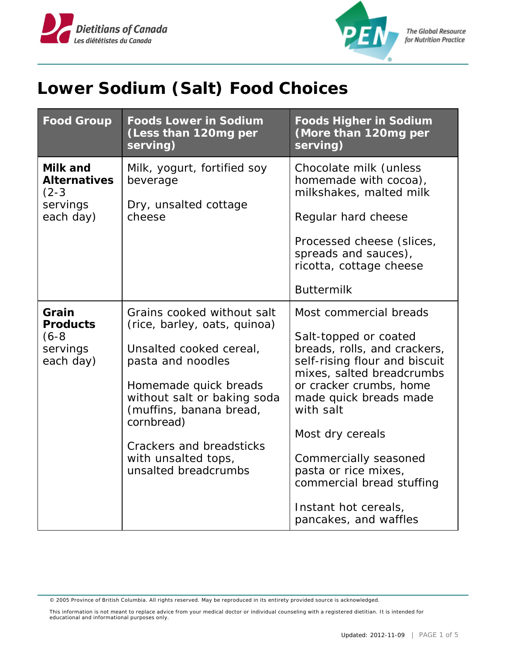



**The Global Resource** for Nutrition Practice

## **Lower Sodium (Salt) Food Choices**

| <b>Food Group</b>                                            | <b>Foods Lower in Sodium</b><br>(Less than 120mg per<br>serving)                                                                                                                                                                                                                       | <b>Foods Higher in Sodium</b><br>(More than 120mg per<br>serving)                                                                                                                                                                                                                                                                                                  |
|--------------------------------------------------------------|----------------------------------------------------------------------------------------------------------------------------------------------------------------------------------------------------------------------------------------------------------------------------------------|--------------------------------------------------------------------------------------------------------------------------------------------------------------------------------------------------------------------------------------------------------------------------------------------------------------------------------------------------------------------|
| Milk and<br>Alternatives<br>$(2-3)$<br>servings<br>each day) | Milk, yogurt, fortified soy<br>beverage<br>Dry, unsalted cottage<br>cheese                                                                                                                                                                                                             | Chocolate milk (unless<br>homemade with cocoa),<br>milkshakes, malted milk<br>Regular hard cheese<br>Processed cheese (slices,<br>spreads and sauces),<br>ricotta, cottage cheese<br><b>Buttermilk</b>                                                                                                                                                             |
| Grain<br>Products<br>$(6-8)$<br>servings<br>each day)        | Grains cooked without salt<br>(rice, barley, oats, quinoa)<br>Unsalted cooked cereal,<br>pasta and noodles<br>Homemade quick breads<br>without salt or baking soda<br>(muffins, banana bread,<br>cornbread)<br>Crackers and breadsticks<br>with unsalted tops,<br>unsalted breadcrumbs | Most commercial breads<br>Salt-topped or coated<br>breads, rolls, and crackers,<br>self-rising flour and biscuit<br>mixes, salted breadcrumbs<br>or cracker crumbs, home<br>made quick breads made<br>with salt<br>Most dry cereals<br>Commercially seasoned<br>pasta or rice mixes,<br>commercial bread stuffing<br>Instant hot cereals,<br>pancakes, and waffles |

© 2005 Province of British Columbia. All rights reserved. May be reproduced in its entirety provided source is acknowledged.

This information is not meant to replace advice from your medical doctor or individual counseling with a registered dietitian. It is intended for educational and informational purposes only.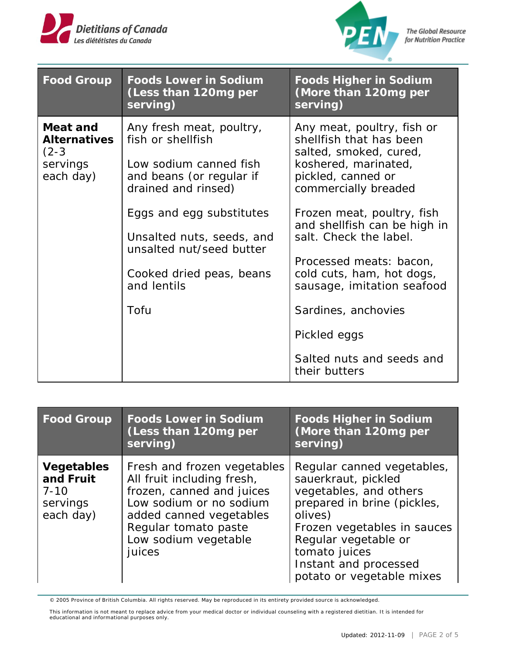



**The Global Resource** for Nutrition Practice

| <b>Food Group</b>                                                   | Foods Lower in Sodium<br>(Less than 120mg per<br>serving)                                                                                                                                                                                                          | <b>Foods Higher in Sodium</b><br>(More than 120mg per<br>serving)                                                                                                                                                                                                                                                                                                          |
|---------------------------------------------------------------------|--------------------------------------------------------------------------------------------------------------------------------------------------------------------------------------------------------------------------------------------------------------------|----------------------------------------------------------------------------------------------------------------------------------------------------------------------------------------------------------------------------------------------------------------------------------------------------------------------------------------------------------------------------|
| Meat and<br><b>Alternatives</b><br>$(2-3)$<br>servings<br>each day) | Any fresh meat, poultry,<br>fish or shellfish<br>Low sodium canned fish<br>and beans (or regular if<br>drained and rinsed)<br>Eggs and egg substitutes<br>Unsalted nuts, seeds, and<br>unsalted nut/seed butter<br>Cooked dried peas, beans<br>and lentils<br>Tofu | Any meat, poultry, fish or<br>shellfish that has been<br>salted, smoked, cured,<br>koshered, marinated,<br>pickled, canned or<br>commercially breaded<br>Frozen meat, poultry, fish<br>and shellfish can be high in<br>salt. Check the label.<br>Processed meats: bacon,<br>cold cuts, ham, hot dogs,<br>sausage, imitation seafood<br>Sardines, anchovies<br>Pickled eggs |
|                                                                     |                                                                                                                                                                                                                                                                    | Salted nuts and seeds and<br>their butters                                                                                                                                                                                                                                                                                                                                 |

| <b>Food Group</b>                                            | Foods Lower in Sodium<br>(Less than 120mg per<br>serving)                                                                                                                                              | <b>Foods Higher in Sodium</b><br>(More than 120mg per<br>serving)                                                                                                                                                                                   |
|--------------------------------------------------------------|--------------------------------------------------------------------------------------------------------------------------------------------------------------------------------------------------------|-----------------------------------------------------------------------------------------------------------------------------------------------------------------------------------------------------------------------------------------------------|
| Vegetables<br>and Fruit<br>$7 - 10$<br>servings<br>each day) | Fresh and frozen vegetables<br>All fruit including fresh,<br>frozen, canned and juices<br>Low sodium or no sodium<br>added canned vegetables<br>Regular tomato paste<br>Low sodium vegetable<br>juices | Regular canned vegetables,<br>sauerkraut, pickled<br>vegetables, and others<br>prepared in brine (pickles,<br>olives)<br>Frozen vegetables in sauces<br>Regular vegetable or<br>tomato juices<br>Instant and processed<br>potato or vegetable mixes |

© 2005 Province of British Columbia. All rights reserved. May be reproduced in its entirety provided source is acknowledged.

This information is not meant to replace advice from your medical doctor or individual counseling with a registered dietitian. It is intended for educational and informational purposes only.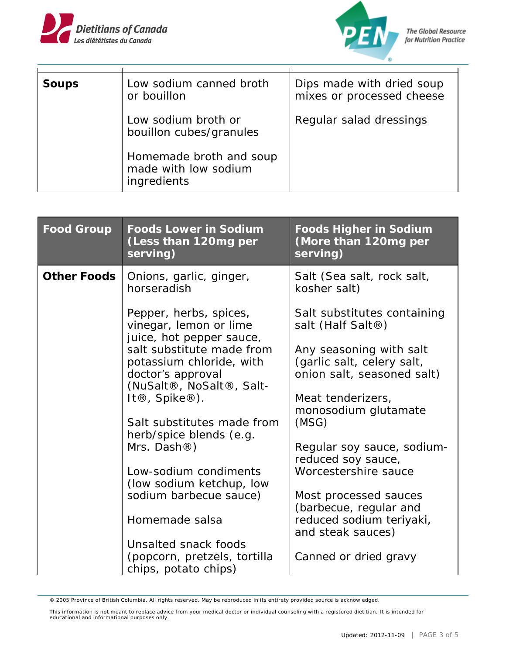



| Soups | Low sodium canned broth<br>or bouillon                         | Dips made with dried soup<br>mixes or processed cheese |
|-------|----------------------------------------------------------------|--------------------------------------------------------|
|       | Low sodium broth or<br>bouillon cubes/granules                 | Regular salad dressings                                |
|       | Homemade broth and soup<br>made with low sodium<br>ingredients |                                                        |

| <i>Food Group</i> | <b>Foods Lower in Sodium</b><br>(Less than 120mg per<br>serving)                                          | <b>Foods Higher in Sodium</b><br>(More than 120mg per<br>serving)                   |
|-------------------|-----------------------------------------------------------------------------------------------------------|-------------------------------------------------------------------------------------|
| Other Foods       | Onions, garlic, ginger,<br>horseradish                                                                    | Salt (Sea salt, rock salt,<br>kosher salt)                                          |
|                   | Pepper, herbs, spices,<br>vinegar, lemon or lime<br>juice, hot pepper sauce,<br>salt substitute made from | Salt substitutes containing<br>salt (Half Salt <sup>®</sup> )                       |
|                   | potassium chloride, with<br>doctor's approval<br>(NuSalt®, NoSalt®, Salt-                                 | Any seasoning with salt<br>(garlic salt, celery salt,<br>onion salt, seasoned salt) |
|                   | It $\mathbb{R}$ , Spike $\mathbb{R}$ ).                                                                   | Meat tenderizers,<br>monosodium glutamate                                           |
|                   | Salt substitutes made from<br>herb/spice blends (e.g.                                                     | (MSG)                                                                               |
|                   | Mrs. Dash $\circledR$ )                                                                                   | Regular soy sauce, sodium-<br>reduced soy sauce,                                    |
|                   | Low-sodium condiments<br>(low sodium ketchup, low                                                         | Worcestershire sauce                                                                |
|                   | sodium barbecue sauce)                                                                                    | Most processed sauces<br>(barbecue, regular and                                     |
|                   | Homemade salsa                                                                                            | reduced sodium teriyaki,<br>and steak sauces)                                       |
|                   | Unsalted snack foods<br>(popcorn, pretzels, tortilla<br>chips, potato chips)                              | Canned or dried gravy                                                               |

<sup>© 2005</sup> Province of British Columbia. All rights reserved. May be reproduced in its entirety provided source is acknowledged.

This information is not meant to replace advice from your medical doctor or individual counseling with a registered dietitian. It is intended for educational and informational purposes only.